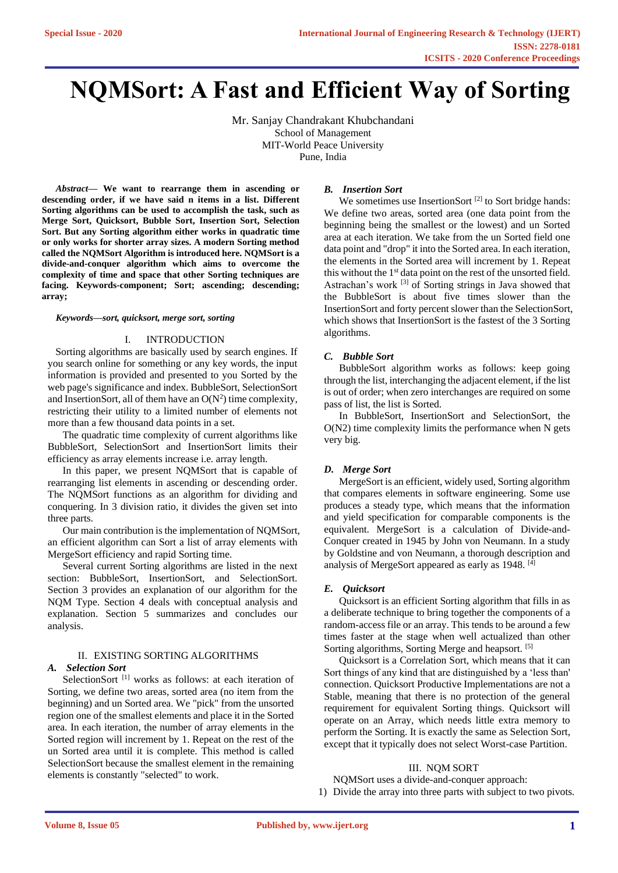# **NQMSort: A Fast and Efficient Way of Sorting**

Mr. Sanjay Chandrakant Khubchandani School of Management MIT-World Peace University Pune, India

*Abstract***— We want to rearrange them in ascending or descending order, if we have said n items in a list. Different Sorting algorithms can be used to accomplish the task, such as Merge Sort, Quicksort, Bubble Sort, Insertion Sort, Selection Sort. But any Sorting algorithm either works in quadratic time or only works for shorter array sizes. A modern Sorting method called the NQMSort Algorithm is introduced here. NQMSort is a divide-and-conquer algorithm which aims to overcome the complexity of time and space that other Sorting techniques are facing. Keywords-component; Sort; ascending; descending; array;**

#### *Keywords—sort, quicksort, merge sort, sorting*

#### I. INTRODUCTION

Sorting algorithms are basically used by search engines. If you search online for something or any key words, the input information is provided and presented to you Sorted by the web page's significance and index. BubbleSort, SelectionSort and InsertionSort, all of them have an  $O(N^2)$  time complexity, restricting their utility to a limited number of elements not more than a few thousand data points in a set.

The quadratic time complexity of current algorithms like BubbleSort, SelectionSort and InsertionSort limits their efficiency as array elements increase i.e. array length.

In this paper, we present NQMSort that is capable of rearranging list elements in ascending or descending order. The NQMSort functions as an algorithm for dividing and conquering. In 3 division ratio, it divides the given set into three parts.

Our main contribution is the implementation of NQMSort, an efficient algorithm can Sort a list of array elements with MergeSort efficiency and rapid Sorting time.

Several current Sorting algorithms are listed in the next section: BubbleSort, InsertionSort, and SelectionSort. Section 3 provides an explanation of our algorithm for the NQM Type. Section 4 deals with conceptual analysis and explanation. Section 5 summarizes and concludes our analysis.

# II. EXISTING SORTING ALGORITHMS *A. Selection Sort*

SelectionSort<sup>[1]</sup> works as follows: at each iteration of Sorting, we define two areas, sorted area (no item from the beginning) and un Sorted area. We "pick" from the unsorted region one of the smallest elements and place it in the Sorted area. In each iteration, the number of array elements in the Sorted region will increment by 1. Repeat on the rest of the un Sorted area until it is complete. This method is called SelectionSort because the smallest element in the remaining elements is constantly "selected" to work.

#### *B. Insertion Sort*

We sometimes use InsertionSort  $[2]$  to Sort bridge hands: We define two areas, sorted area (one data point from the beginning being the smallest or the lowest) and un Sorted area at each iteration. We take from the un Sorted field one data point and "drop" it into the Sorted area. In each iteration, the elements in the Sorted area will increment by 1. Repeat this without the 1<sup>st</sup> data point on the rest of the unsorted field. Astrachan's work [3] of Sorting strings in Java showed that the BubbleSort is about five times slower than the InsertionSort and forty percent slower than the SelectionSort, which shows that InsertionSort is the fastest of the 3 Sorting algorithms.

## *C. Bubble Sort*

BubbleSort algorithm works as follows: keep going through the list, interchanging the adjacent element, if the list is out of order; when zero interchanges are required on some pass of list, the list is Sorted.

In BubbleSort, InsertionSort and SelectionSort, the O(N2) time complexity limits the performance when N gets very big.

#### *D. Merge Sort*

MergeSort is an efficient, widely used, Sorting algorithm that compares elements in software engineering. Some use produces a steady type, which means that the information and yield specification for comparable components is the equivalent. MergeSort is a calculation of Divide-and-Conquer created in 1945 by John von Neumann. In a study by Goldstine and von Neumann, a thorough description and analysis of MergeSort appeared as early as  $1948$ . [4]

# *E. Quicksort*

Quicksort is an efficient Sorting algorithm that fills in as a deliberate technique to bring together the components of a random-access file or an array. This tends to be around a few times faster at the stage when well actualized than other Sorting algorithms, Sorting Merge and heapsort. [5]

Quicksort is a Correlation Sort, which means that it can Sort things of any kind that are distinguished by a 'less than' connection. Quicksort Productive Implementations are not a Stable, meaning that there is no protection of the general requirement for equivalent Sorting things. Quicksort will operate on an Array, which needs little extra memory to perform the Sorting. It is exactly the same as Selection Sort, except that it typically does not select Worst-case Partition.

#### III. NQM SORT

NQMSort uses a divide-and-conquer approach:

1) Divide the array into three parts with subject to two pivots.